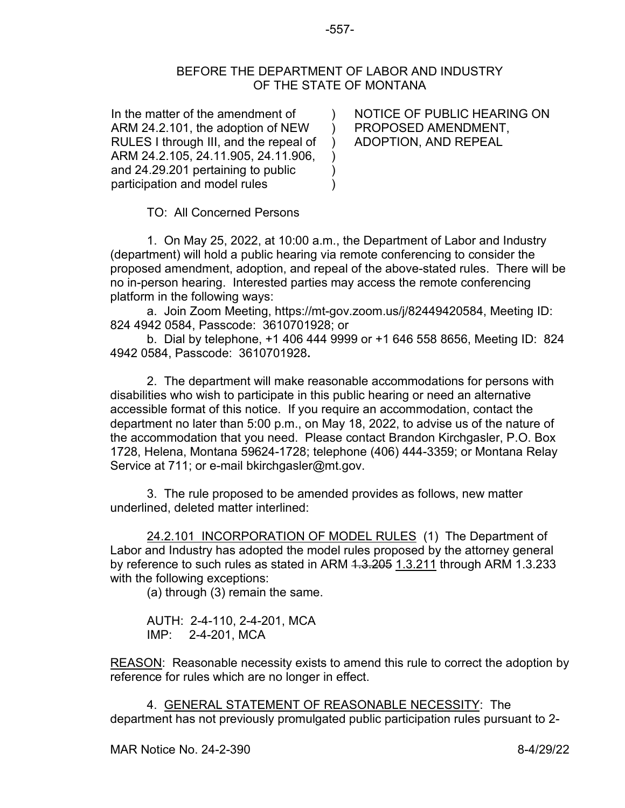## BEFORE THE DEPARTMENT OF LABOR AND INDUSTRY OF THE STATE OF MONTANA

 $\lambda$  $\mathcal{L}$ ) ) ) )

In the matter of the amendment of ARM 24.2.101, the adoption of NEW RULES I through III, and the repeal of ARM 24.2.105, 24.11.905, 24.11.906, and 24.29.201 pertaining to public participation and model rules

NOTICE OF PUBLIC HEARING ON PROPOSED AMENDMENT, ADOPTION, AND REPEAL

TO: All Concerned Persons

1. On May 25, 2022, at 10:00 a.m., the Department of Labor and Industry (department) will hold a public hearing via remote conferencing to consider the proposed amendment, adoption, and repeal of the above-stated rules. There will be no in-person hearing. Interested parties may access the remote conferencing platform in the following ways:

a. Join Zoom Meeting, https://mt-gov.zoom.us/j/82449420584, Meeting ID: 824 4942 0584, Passcode: 3610701928; or

b. Dial by telephone, +1 406 444 9999 or +1 646 558 8656, Meeting ID: 824 4942 0584, Passcode: 3610701928**.**

2. The department will make reasonable accommodations for persons with disabilities who wish to participate in this public hearing or need an alternative accessible format of this notice. If you require an accommodation, contact the department no later than 5:00 p.m., on May 18, 2022, to advise us of the nature of the accommodation that you need. Please contact Brandon Kirchgasler, P.O. Box 1728, Helena, Montana 59624-1728; telephone (406) 444-3359; or Montana Relay Service at 711; or e-mail bkirchgasler@mt.gov.

 3. The rule proposed to be amended provides as follows, new matter underlined, deleted matter interlined:

24.2.101 INCORPORATION OF MODEL RULES (1) The Department of Labor and Industry has adopted the model rules proposed by the attorney general by reference to such rules as stated in ARM 4.3.205 1.3.211 through ARM 1.3.233 with the following exceptions:

(a) through (3) remain the same.

AUTH: 2-4-110, 2-4-201, MCA IMP: 2-4-201, MCA

REASON: Reasonable necessity exists to amend this rule to correct the adoption by reference for rules which are no longer in effect.

4. GENERAL STATEMENT OF REASONABLE NECESSITY: The department has not previously promulgated public participation rules pursuant to 2-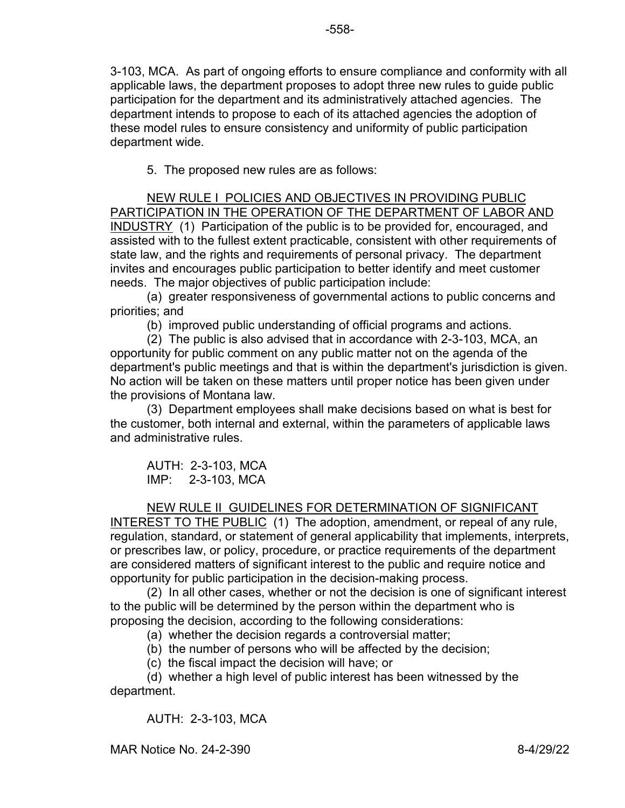3-103, MCA. As part of ongoing efforts to ensure compliance and conformity with all applicable laws, the department proposes to adopt three new rules to guide public participation for the department and its administratively attached agencies. The department intends to propose to each of its attached agencies the adoption of these model rules to ensure consistency and uniformity of public participation department wide.

5. The proposed new rules are as follows:

NEW RULE I POLICIES AND OBJECTIVES IN PROVIDING PUBLIC PARTICIPATION IN THE OPERATION OF THE DEPARTMENT OF LABOR AND INDUSTRY (1) Participation of the public is to be provided for, encouraged, and assisted with to the fullest extent practicable, consistent with other requirements of state law, and the rights and requirements of personal privacy. The department invites and encourages public participation to better identify and meet customer needs. The major objectives of public participation include:

(a) greater responsiveness of governmental actions to public concerns and priorities; and

(b) improved public understanding of official programs and actions.

(2) The public is also advised that in accordance with 2-3-103, MCA, an opportunity for public comment on any public matter not on the agenda of the department's public meetings and that is within the department's jurisdiction is given. No action will be taken on these matters until proper notice has been given under the provisions of Montana law.

(3) Department employees shall make decisions based on what is best for the customer, both internal and external, within the parameters of applicable laws and administrative rules.

AUTH: 2-3-103, MCA IMP: 2-3-103, MCA

## NEW RULE II GUIDELINES FOR DETERMINATION OF SIGNIFICANT

INTEREST TO THE PUBLIC (1) The adoption, amendment, or repeal of any rule, regulation, standard, or statement of general applicability that implements, interprets, or prescribes law, or policy, procedure, or practice requirements of the department are considered matters of significant interest to the public and require notice and opportunity for public participation in the decision-making process.

(2) In all other cases, whether or not the decision is one of significant interest to the public will be determined by the person within the department who is proposing the decision, according to the following considerations:

(a) whether the decision regards a controversial matter;

(b) the number of persons who will be affected by the decision;

(c) the fiscal impact the decision will have; or

(d) whether a high level of public interest has been witnessed by the department.

AUTH: 2-3-103, MCA

MAR Notice No. 24-2-390 8-4/29/22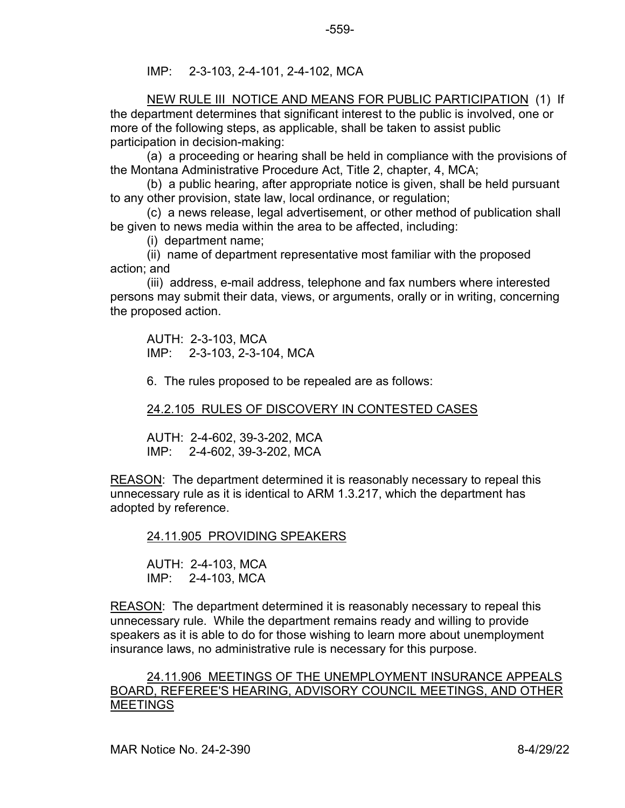IMP: 2-3-103, 2-4-101, 2-4-102, MCA

NEW RULE III NOTICE AND MEANS FOR PUBLIC PARTICIPATION (1) If the department determines that significant interest to the public is involved, one or more of the following steps, as applicable, shall be taken to assist public participation in decision-making:

(a) a proceeding or hearing shall be held in compliance with the provisions of the Montana Administrative Procedure Act, Title 2, chapter, 4, MCA;

(b) a public hearing, after appropriate notice is given, shall be held pursuant to any other provision, state law, local ordinance, or regulation;

(c) a news release, legal advertisement, or other method of publication shall be given to news media within the area to be affected, including:

(i) department name;

(ii) name of department representative most familiar with the proposed action; and

(iii) address, e-mail address, telephone and fax numbers where interested persons may submit their data, views, or arguments, orally or in writing, concerning the proposed action.

AUTH: 2-3-103, MCA IMP: 2-3-103, 2-3-104, MCA

6. The rules proposed to be repealed are as follows:

24.2.105 RULES OF DISCOVERY IN CONTESTED CASES

AUTH: 2-4-602, 39-3-202, MCA IMP: 2-4-602, 39-3-202, MCA

REASON: The department determined it is reasonably necessary to repeal this unnecessary rule as it is identical to ARM 1.3.217, which the department has adopted by reference.

24.11.905 PROVIDING SPEAKERS

AUTH: 2-4-103, MCA IMP: 2-4-103, MCA

REASON: The department determined it is reasonably necessary to repeal this unnecessary rule. While the department remains ready and willing to provide speakers as it is able to do for those wishing to learn more about unemployment insurance laws, no administrative rule is necessary for this purpose.

24.11.906 MEETINGS OF THE UNEMPLOYMENT INSURANCE APPEALS BOARD, REFEREE'S HEARING, ADVISORY COUNCIL MEETINGS, AND OTHER MEETINGS